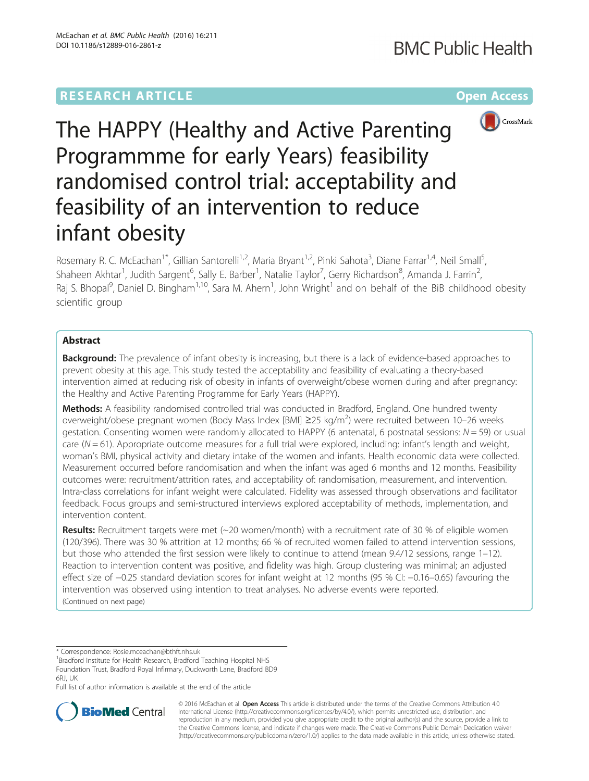

The HAPPY (Healthy and Active Parenting Programmme for early Years) feasibility randomised control trial: acceptability and feasibility of an intervention to reduce infant obesity

Rosemary R. C. McEachan<sup>1\*</sup>, Gillian Santorelli<sup>1,2</sup>, Maria Bryant<sup>1,2</sup>, Pinki Sahota<sup>3</sup>, Diane Farrar<sup>1,4</sup>, Neil Small<sup>5</sup> , Shaheen Akhtar<sup>1</sup>, Judith Sargent<sup>6</sup>, Sally E. Barber<sup>1</sup>, Natalie Taylor<sup>7</sup>, Gerry Richardson<sup>8</sup>, Amanda J. Farrin<sup>2</sup> , Raj S. Bhopal<sup>9</sup>, Daniel D. Bingham<sup>1,10</sup>, Sara M. Ahern<sup>1</sup>, John Wright<sup>1</sup> and on behalf of the BiB childhood obesity scientific group

# Abstract

**Background:** The prevalence of infant obesity is increasing, but there is a lack of evidence-based approaches to prevent obesity at this age. This study tested the acceptability and feasibility of evaluating a theory-based intervention aimed at reducing risk of obesity in infants of overweight/obese women during and after pregnancy: the Healthy and Active Parenting Programme for Early Years (HAPPY).

Methods: A feasibility randomised controlled trial was conducted in Bradford, England. One hundred twenty overweight/obese pregnant women (Body Mass Index [BMI] ≥25 kg/m<sup>2</sup>) were recruited between 10–26 weeks gestation. Consenting women were randomly allocated to HAPPY (6 antenatal, 6 postnatal sessions:  $N = 59$ ) or usual care  $(N = 61)$ . Appropriate outcome measures for a full trial were explored, including: infant's length and weight, woman's BMI, physical activity and dietary intake of the women and infants. Health economic data were collected. Measurement occurred before randomisation and when the infant was aged 6 months and 12 months. Feasibility outcomes were: recruitment/attrition rates, and acceptability of: randomisation, measurement, and intervention. Intra-class correlations for infant weight were calculated. Fidelity was assessed through observations and facilitator feedback. Focus groups and semi-structured interviews explored acceptability of methods, implementation, and intervention content.

**Results:** Recruitment targets were met  $(\sim 20$  women/month) with a recruitment rate of 30 % of eligible women (120/396). There was 30 % attrition at 12 months; 66 % of recruited women failed to attend intervention sessions, but those who attended the first session were likely to continue to attend (mean 9.4/12 sessions, range 1–12). Reaction to intervention content was positive, and fidelity was high. Group clustering was minimal; an adjusted effect size of −0.25 standard deviation scores for infant weight at 12 months (95 % CI: −0.16–0.65) favouring the intervention was observed using intention to treat analyses. No adverse events were reported. (Continued on next page)

\* Correspondence: [Rosie.mceachan@bthft.nhs.uk](mailto:Rosie.mceachan@bthft.nhs.uk) <sup>1</sup>

<sup>1</sup>Bradford Institute for Health Research, Bradford Teaching Hospital NHS Foundation Trust, Bradford Royal Infirmary, Duckworth Lane, Bradford BD9 6RJ, UK

Full list of author information is available at the end of the article



© 2016 McEachan et al. Open Access This article is distributed under the terms of the Creative Commons Attribution 4.0 International License [\(http://creativecommons.org/licenses/by/4.0/](http://creativecommons.org/licenses/by/4.0/)), which permits unrestricted use, distribution, and reproduction in any medium, provided you give appropriate credit to the original author(s) and the source, provide a link to the Creative Commons license, and indicate if changes were made. The Creative Commons Public Domain Dedication waiver [\(http://creativecommons.org/publicdomain/zero/1.0/](http://creativecommons.org/publicdomain/zero/1.0/)) applies to the data made available in this article, unless otherwise stated.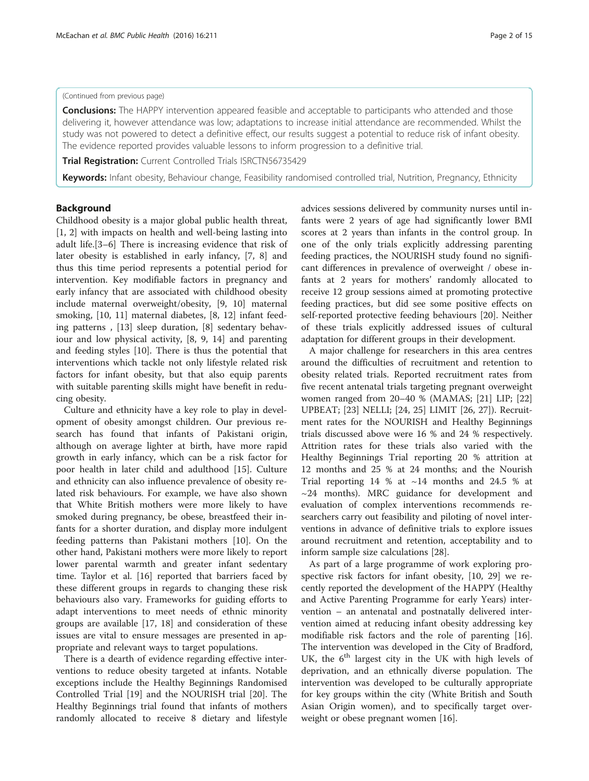## (Continued from previous page)

**Conclusions:** The HAPPY intervention appeared feasible and acceptable to participants who attended and those delivering it, however attendance was low; adaptations to increase initial attendance are recommended. Whilst the study was not powered to detect a definitive effect, our results suggest a potential to reduce risk of infant obesity. The evidence reported provides valuable lessons to inform progression to a definitive trial.

Trial Registration: Current Controlled Trials [ISRCTN56735429](http://www.isrctn.com/ISRCTN56735429)

Keywords: Infant obesity, Behaviour change, Feasibility randomised controlled trial, Nutrition, Pregnancy, Ethnicity

# Background

Childhood obesity is a major global public health threat, [[1, 2](#page-13-0)] with impacts on health and well-being lasting into adult life.[[3](#page-13-0)–[6\]](#page-13-0) There is increasing evidence that risk of later obesity is established in early infancy, [[7, 8](#page-13-0)] and thus this time period represents a potential period for intervention. Key modifiable factors in pregnancy and early infancy that are associated with childhood obesity include maternal overweight/obesity, [[9](#page-13-0), [10](#page-13-0)] maternal smoking, [[10](#page-13-0), [11](#page-13-0)] maternal diabetes, [\[8, 12\]](#page-13-0) infant feeding patterns , [\[13\]](#page-13-0) sleep duration, [[8\]](#page-13-0) sedentary behaviour and low physical activity, [[8, 9](#page-13-0), [14\]](#page-13-0) and parenting and feeding styles [\[10](#page-13-0)]. There is thus the potential that interventions which tackle not only lifestyle related risk factors for infant obesity, but that also equip parents with suitable parenting skills might have benefit in reducing obesity.

Culture and ethnicity have a key role to play in development of obesity amongst children. Our previous research has found that infants of Pakistani origin, although on average lighter at birth, have more rapid growth in early infancy, which can be a risk factor for poor health in later child and adulthood [[15](#page-13-0)]. Culture and ethnicity can also influence prevalence of obesity related risk behaviours. For example, we have also shown that White British mothers were more likely to have smoked during pregnancy, be obese, breastfeed their infants for a shorter duration, and display more indulgent feeding patterns than Pakistani mothers [[10](#page-13-0)]. On the other hand, Pakistani mothers were more likely to report lower parental warmth and greater infant sedentary time. Taylor et al. [\[16](#page-13-0)] reported that barriers faced by these different groups in regards to changing these risk behaviours also vary. Frameworks for guiding efforts to adapt interventions to meet needs of ethnic minority groups are available [[17, 18](#page-13-0)] and consideration of these issues are vital to ensure messages are presented in appropriate and relevant ways to target populations.

There is a dearth of evidence regarding effective interventions to reduce obesity targeted at infants. Notable exceptions include the Healthy Beginnings Randomised Controlled Trial [\[19](#page-13-0)] and the NOURISH trial [\[20](#page-13-0)]. The Healthy Beginnings trial found that infants of mothers randomly allocated to receive 8 dietary and lifestyle advices sessions delivered by community nurses until infants were 2 years of age had significantly lower BMI scores at 2 years than infants in the control group. In one of the only trials explicitly addressing parenting feeding practices, the NOURISH study found no significant differences in prevalence of overweight / obese infants at 2 years for mothers' randomly allocated to receive 12 group sessions aimed at promoting protective feeding practices, but did see some positive effects on self-reported protective feeding behaviours [[20\]](#page-13-0). Neither of these trials explicitly addressed issues of cultural adaptation for different groups in their development.

A major challenge for researchers in this area centres around the difficulties of recruitment and retention to obesity related trials. Reported recruitment rates from five recent antenatal trials targeting pregnant overweight women ranged from 20–40 % (MAMAS; [[21\]](#page-13-0) LIP; [[22](#page-13-0)] UPBEAT; [\[23](#page-13-0)] NELLI; [[24, 25\]](#page-13-0) LIMIT [[26](#page-13-0), [27\]](#page-13-0)). Recruitment rates for the NOURISH and Healthy Beginnings trials discussed above were 16 % and 24 % respectively. Attrition rates for these trials also varied with the Healthy Beginnings Trial reporting 20 % attrition at 12 months and 25 % at 24 months; and the Nourish Trial reporting 14 % at  $\sim$ 14 months and 24.5 % at  $\sim$ 24 months). MRC guidance for development and evaluation of complex interventions recommends researchers carry out feasibility and piloting of novel interventions in advance of definitive trials to explore issues around recruitment and retention, acceptability and to inform sample size calculations [\[28](#page-13-0)].

As part of a large programme of work exploring prospective risk factors for infant obesity, [[10, 29](#page-13-0)] we recently reported the development of the HAPPY (Healthy and Active Parenting Programme for early Years) intervention – an antenatal and postnatally delivered intervention aimed at reducing infant obesity addressing key modifiable risk factors and the role of parenting [\[16](#page-13-0)]. The intervention was developed in the City of Bradford, UK, the  $6<sup>th</sup>$  largest city in the UK with high levels of deprivation, and an ethnically diverse population. The intervention was developed to be culturally appropriate for key groups within the city (White British and South Asian Origin women), and to specifically target overweight or obese pregnant women [[16](#page-13-0)].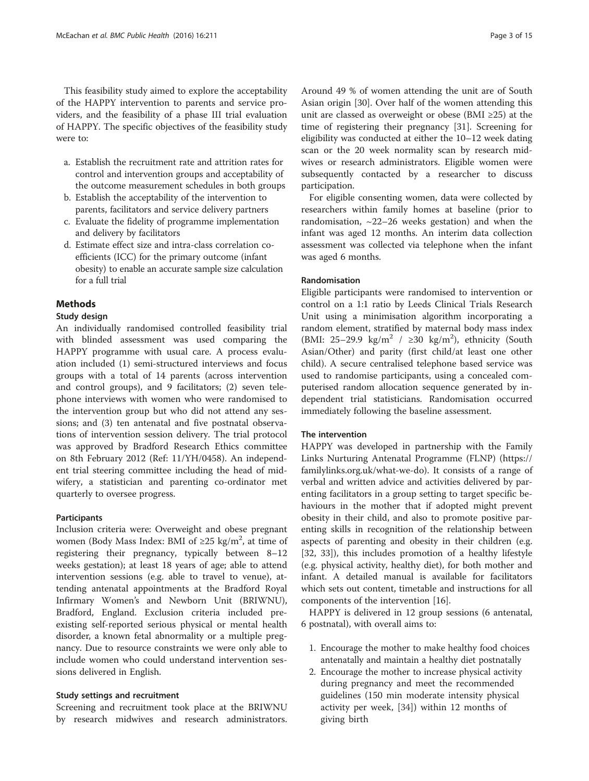This feasibility study aimed to explore the acceptability of the HAPPY intervention to parents and service providers, and the feasibility of a phase III trial evaluation of HAPPY. The specific objectives of the feasibility study were to:

- a. Establish the recruitment rate and attrition rates for control and intervention groups and acceptability of the outcome measurement schedules in both groups
- b. Establish the acceptability of the intervention to parents, facilitators and service delivery partners
- c. Evaluate the fidelity of programme implementation and delivery by facilitators
- d. Estimate effect size and intra-class correlation coefficients (ICC) for the primary outcome (infant obesity) to enable an accurate sample size calculation for a full trial

## Methods

## Study design

An individually randomised controlled feasibility trial with blinded assessment was used comparing the HAPPY programme with usual care. A process evaluation included (1) semi-structured interviews and focus groups with a total of 14 parents (across intervention and control groups), and 9 facilitators; (2) seven telephone interviews with women who were randomised to the intervention group but who did not attend any sessions; and (3) ten antenatal and five postnatal observations of intervention session delivery. The trial protocol was approved by Bradford Research Ethics committee on 8th February 2012 (Ref: 11/YH/0458). An independent trial steering committee including the head of midwifery, a statistician and parenting co-ordinator met quarterly to oversee progress.

## **Participants**

Inclusion criteria were: Overweight and obese pregnant women (Body Mass Index: BMI of  $\geq$ 25 kg/m<sup>2</sup>, at time of registering their pregnancy, typically between 8–12 weeks gestation); at least 18 years of age; able to attend intervention sessions (e.g. able to travel to venue), attending antenatal appointments at the Bradford Royal Infirmary Women's and Newborn Unit (BRIWNU), Bradford, England. Exclusion criteria included preexisting self-reported serious physical or mental health disorder, a known fetal abnormality or a multiple pregnancy. Due to resource constraints we were only able to include women who could understand intervention sessions delivered in English.

## Study settings and recruitment

Screening and recruitment took place at the BRIWNU by research midwives and research administrators. Around 49 % of women attending the unit are of South Asian origin [[30](#page-13-0)]. Over half of the women attending this unit are classed as overweight or obese (BMI ≥25) at the time of registering their pregnancy [\[31\]](#page-13-0). Screening for eligibility was conducted at either the 10–12 week dating scan or the 20 week normality scan by research midwives or research administrators. Eligible women were subsequently contacted by a researcher to discuss participation.

For eligible consenting women, data were collected by researchers within family homes at baseline (prior to randomisation,  $\sim$ 22–26 weeks gestation) and when the infant was aged 12 months. An interim data collection assessment was collected via telephone when the infant was aged 6 months.

## Randomisation

Eligible participants were randomised to intervention or control on a 1:1 ratio by Leeds Clinical Trials Research Unit using a minimisation algorithm incorporating a random element, stratified by maternal body mass index (BMI: 25-29.9 kg/m<sup>2</sup> /  $\geq$ 30 kg/m<sup>2</sup>), ethnicity (South Asian/Other) and parity (first child/at least one other child). A secure centralised telephone based service was used to randomise participants, using a concealed computerised random allocation sequence generated by independent trial statisticians. Randomisation occurred immediately following the baseline assessment.

## The intervention

HAPPY was developed in partnership with the Family Links Nurturing Antenatal Programme (FLNP) ([https://](https://familylinks.org.uk/what-we-do) [familylinks.org.uk/what-we-do\)](https://familylinks.org.uk/what-we-do). It consists of a range of verbal and written advice and activities delivered by parenting facilitators in a group setting to target specific behaviours in the mother that if adopted might prevent obesity in their child, and also to promote positive parenting skills in recognition of the relationship between aspects of parenting and obesity in their children (e.g. [[32, 33](#page-13-0)]), this includes promotion of a healthy lifestyle (e.g. physical activity, healthy diet), for both mother and infant. A detailed manual is available for facilitators which sets out content, timetable and instructions for all components of the intervention [[16\]](#page-13-0).

HAPPY is delivered in 12 group sessions (6 antenatal, 6 postnatal), with overall aims to:

- 1. Encourage the mother to make healthy food choices antenatally and maintain a healthy diet postnatally
- 2. Encourage the mother to increase physical activity during pregnancy and meet the recommended guidelines (150 min moderate intensity physical activity per week, [\[34](#page-13-0)]) within 12 months of giving birth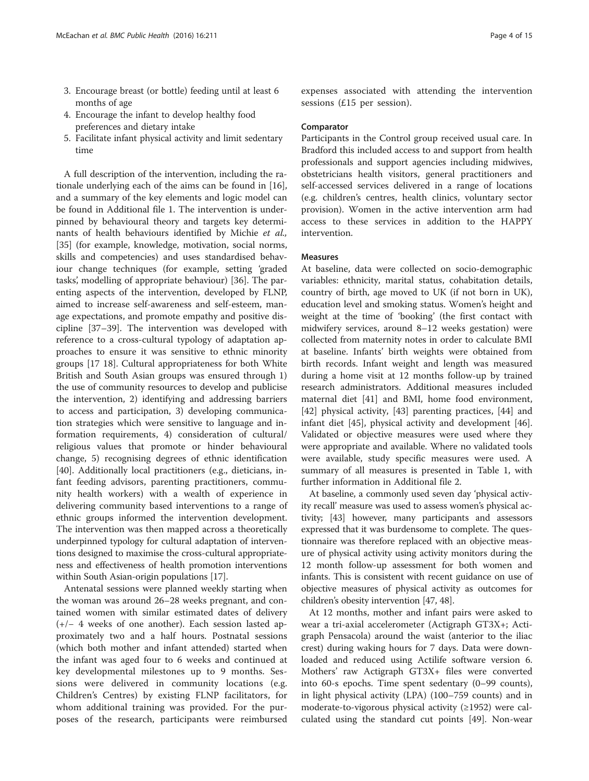- 3. Encourage breast (or bottle) feeding until at least 6 months of age
- 4. Encourage the infant to develop healthy food preferences and dietary intake
- 5. Facilitate infant physical activity and limit sedentary time

A full description of the intervention, including the rationale underlying each of the aims can be found in [\[16](#page-13-0)], and a summary of the key elements and logic model can be found in Additional file [1](#page-12-0). The intervention is underpinned by behavioural theory and targets key determinants of health behaviours identified by Michie et al., [[35\]](#page-13-0) (for example, knowledge, motivation, social norms, skills and competencies) and uses standardised behaviour change techniques (for example, setting 'graded tasks', modelling of appropriate behaviour) [[36](#page-13-0)]. The parenting aspects of the intervention, developed by FLNP, aimed to increase self-awareness and self-esteem, manage expectations, and promote empathy and positive discipline [\[37](#page-14-0)–[39\]](#page-14-0). The intervention was developed with reference to a cross-cultural typology of adaptation approaches to ensure it was sensitive to ethnic minority groups [17 18]. Cultural appropriateness for both White British and South Asian groups was ensured through 1) the use of community resources to develop and publicise the intervention, 2) identifying and addressing barriers to access and participation, 3) developing communication strategies which were sensitive to language and information requirements, 4) consideration of cultural/ religious values that promote or hinder behavioural change, 5) recognising degrees of ethnic identification [[40\]](#page-14-0). Additionally local practitioners (e.g., dieticians, infant feeding advisors, parenting practitioners, community health workers) with a wealth of experience in delivering community based interventions to a range of ethnic groups informed the intervention development. The intervention was then mapped across a theoretically underpinned typology for cultural adaptation of interventions designed to maximise the cross-cultural appropriateness and effectiveness of health promotion interventions within South Asian-origin populations [[17](#page-13-0)].

Antenatal sessions were planned weekly starting when the woman was around 26–28 weeks pregnant, and contained women with similar estimated dates of delivery (+/− 4 weeks of one another). Each session lasted approximately two and a half hours. Postnatal sessions (which both mother and infant attended) started when the infant was aged four to 6 weeks and continued at key developmental milestones up to 9 months. Sessions were delivered in community locations (e.g. Children's Centres) by existing FLNP facilitators, for whom additional training was provided. For the purposes of the research, participants were reimbursed

expenses associated with attending the intervention sessions (£15 per session).

## Comparator

Participants in the Control group received usual care. In Bradford this included access to and support from health professionals and support agencies including midwives, obstetricians health visitors, general practitioners and self-accessed services delivered in a range of locations (e.g. children's centres, health clinics, voluntary sector provision). Women in the active intervention arm had access to these services in addition to the HAPPY intervention.

# Measures

At baseline, data were collected on socio-demographic variables: ethnicity, marital status, cohabitation details, country of birth, age moved to UK (if not born in UK), education level and smoking status. Women's height and weight at the time of 'booking' (the first contact with midwifery services, around 8–12 weeks gestation) were collected from maternity notes in order to calculate BMI at baseline. Infants' birth weights were obtained from birth records. Infant weight and length was measured during a home visit at 12 months follow-up by trained research administrators. Additional measures included maternal diet [\[41](#page-14-0)] and BMI, home food environment, [[42\]](#page-14-0) physical activity, [\[43](#page-14-0)] parenting practices, [\[44](#page-14-0)] and infant diet [\[45](#page-14-0)], physical activity and development [\[46](#page-14-0)]. Validated or objective measures were used where they were appropriate and available. Where no validated tools were available, study specific measures were used. A summary of all measures is presented in Table [1](#page-4-0), with further information in Additional file [2.](#page-12-0)

At baseline, a commonly used seven day 'physical activity recall' measure was used to assess women's physical activity; [[43](#page-14-0)] however, many participants and assessors expressed that it was burdensome to complete. The questionnaire was therefore replaced with an objective measure of physical activity using activity monitors during the 12 month follow-up assessment for both women and infants. This is consistent with recent guidance on use of objective measures of physical activity as outcomes for children's obesity intervention [\[47](#page-14-0), [48](#page-14-0)].

At 12 months, mother and infant pairs were asked to wear a tri-axial accelerometer (Actigraph GT3X+; Actigraph Pensacola) around the waist (anterior to the iliac crest) during waking hours for 7 days. Data were downloaded and reduced using Actilife software version 6. Mothers' raw Actigraph GT3X+ files were converted into 60-s epochs. Time spent sedentary (0–99 counts), in light physical activity (LPA) (100–759 counts) and in moderate-to-vigorous physical activity (≥1952) were calculated using the standard cut points [\[49](#page-14-0)]. Non-wear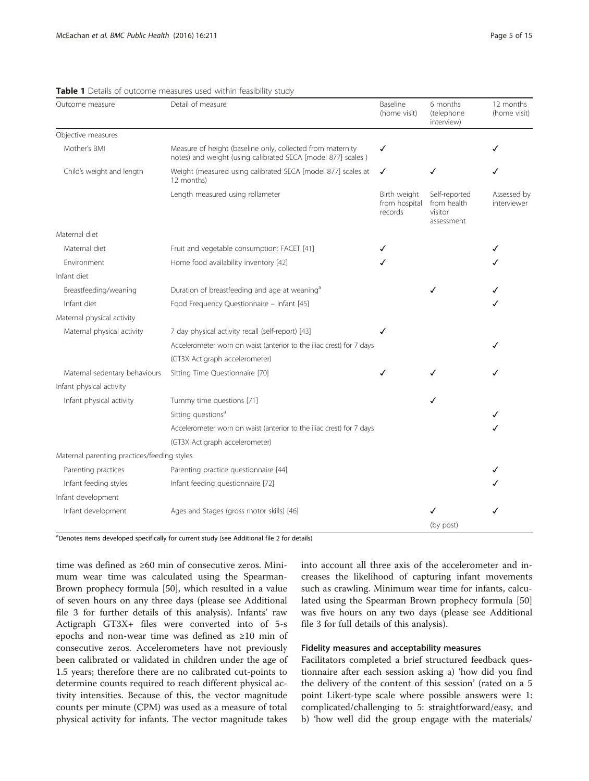| Outcome measure                             | Detail of measure                                                                                                          | Baseline<br>(home visit)                 | 6 months<br>(telephone<br>interview)                  | 12 months<br>(home visit)  |
|---------------------------------------------|----------------------------------------------------------------------------------------------------------------------------|------------------------------------------|-------------------------------------------------------|----------------------------|
| Objective measures                          |                                                                                                                            |                                          |                                                       |                            |
| Mother's BMI                                | Measure of height (baseline only, collected from maternity<br>notes) and weight (using calibrated SECA [model 877] scales) | ✓                                        |                                                       |                            |
| Child's weight and length                   | Weight (measured using calibrated SECA [model 877] scales at<br>12 months)                                                 | ✓                                        | ✓                                                     | ℐ                          |
|                                             | Length measured using rollameter                                                                                           | Birth weight<br>from hospital<br>records | Self-reported<br>from health<br>visitor<br>assessment | Assessed by<br>interviewer |
| Maternal diet                               |                                                                                                                            |                                          |                                                       |                            |
| Maternal diet                               | Fruit and vegetable consumption: FACET [41]                                                                                | ✓                                        |                                                       | ✓                          |
| Environment                                 | Home food availability inventory [42]                                                                                      |                                          |                                                       |                            |
| Infant diet                                 |                                                                                                                            |                                          |                                                       |                            |
| Breastfeeding/weaning                       | Duration of breastfeeding and age at weaning <sup>a</sup>                                                                  |                                          | ✓                                                     |                            |
| Infant diet                                 | Food Frequency Questionnaire - Infant [45]                                                                                 |                                          |                                                       | ✓                          |
| Maternal physical activity                  |                                                                                                                            |                                          |                                                       |                            |
| Maternal physical activity                  | 7 day physical activity recall (self-report) [43]                                                                          | ✓                                        |                                                       |                            |
|                                             | Accelerometer worn on waist (anterior to the iliac crest) for 7 days                                                       |                                          |                                                       | ℐ                          |
|                                             | (GT3X Actigraph accelerometer)                                                                                             |                                          |                                                       |                            |
| Maternal sedentary behaviours               | Sitting Time Questionnaire [70]                                                                                            | ✓                                        | ✓                                                     |                            |
| Infant physical activity                    |                                                                                                                            |                                          |                                                       |                            |
| Infant physical activity                    | Tummy time questions [71]                                                                                                  |                                          | ✓                                                     |                            |
|                                             | Sitting questions <sup>a</sup>                                                                                             |                                          |                                                       | ✓                          |
|                                             | Accelerometer worn on waist (anterior to the iliac crest) for 7 days                                                       |                                          |                                                       | ℐ                          |
|                                             | (GT3X Actigraph accelerometer)                                                                                             |                                          |                                                       |                            |
| Maternal parenting practices/feeding styles |                                                                                                                            |                                          |                                                       |                            |
| Parenting practices                         | Parenting practice questionnaire [44]                                                                                      |                                          |                                                       | ✓                          |
| Infant feeding styles                       | Infant feeding questionnaire [72]                                                                                          |                                          |                                                       |                            |
| Infant development                          |                                                                                                                            |                                          |                                                       |                            |
| Infant development                          | Ages and Stages (gross motor skills) [46]                                                                                  |                                          | (by post)                                             | ✓                          |

<span id="page-4-0"></span>Table 1 Details of outcome measures used within feasibility study

<sup>a</sup>Denotes items developed specifically for current study (see Additional file [2](#page-12-0) for details)

time was defined as ≥60 min of consecutive zeros. Minimum wear time was calculated using the Spearman-Brown prophecy formula [\[50](#page-14-0)], which resulted in a value of seven hours on any three days (please see Additional file [3](#page-12-0) for further details of this analysis). Infants' raw Actigraph GT3X+ files were converted into of 5-s epochs and non-wear time was defined as ≥10 min of consecutive zeros. Accelerometers have not previously been calibrated or validated in children under the age of 1.5 years; therefore there are no calibrated cut-points to determine counts required to reach different physical activity intensities. Because of this, the vector magnitude counts per minute (CPM) was used as a measure of total physical activity for infants. The vector magnitude takes

into account all three axis of the accelerometer and increases the likelihood of capturing infant movements such as crawling. Minimum wear time for infants, calculated using the Spearman Brown prophecy formula [[50](#page-14-0)] was five hours on any two days (please see Additional file [3](#page-12-0) for full details of this analysis).

## Fidelity measures and acceptability measures

Facilitators completed a brief structured feedback questionnaire after each session asking a) 'how did you find the delivery of the content of this session' (rated on a 5 point Likert-type scale where possible answers were 1: complicated/challenging to 5: straightforward/easy, and b) 'how well did the group engage with the materials/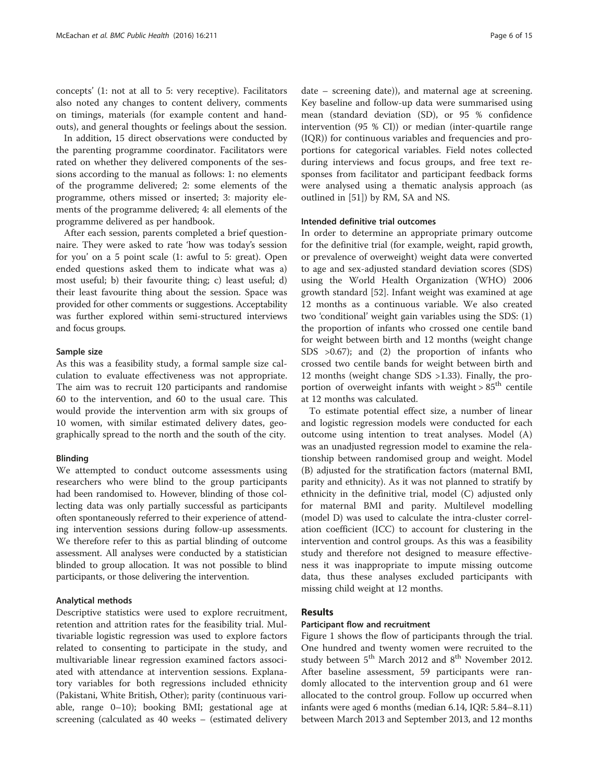concepts' (1: not at all to 5: very receptive). Facilitators also noted any changes to content delivery, comments on timings, materials (for example content and handouts), and general thoughts or feelings about the session.

In addition, 15 direct observations were conducted by the parenting programme coordinator. Facilitators were rated on whether they delivered components of the sessions according to the manual as follows: 1: no elements of the programme delivered; 2: some elements of the programme, others missed or inserted; 3: majority elements of the programme delivered; 4: all elements of the programme delivered as per handbook.

After each session, parents completed a brief questionnaire. They were asked to rate 'how was today's session for you' on a 5 point scale (1: awful to 5: great). Open ended questions asked them to indicate what was a) most useful; b) their favourite thing; c) least useful; d) their least favourite thing about the session. Space was provided for other comments or suggestions. Acceptability was further explored within semi-structured interviews and focus groups.

## Sample size

As this was a feasibility study, a formal sample size calculation to evaluate effectiveness was not appropriate. The aim was to recruit 120 participants and randomise 60 to the intervention, and 60 to the usual care. This would provide the intervention arm with six groups of 10 women, with similar estimated delivery dates, geographically spread to the north and the south of the city.

## Blinding

We attempted to conduct outcome assessments using researchers who were blind to the group participants had been randomised to. However, blinding of those collecting data was only partially successful as participants often spontaneously referred to their experience of attending intervention sessions during follow-up assessments. We therefore refer to this as partial blinding of outcome assessment. All analyses were conducted by a statistician blinded to group allocation. It was not possible to blind participants, or those delivering the intervention.

## Analytical methods

Descriptive statistics were used to explore recruitment, retention and attrition rates for the feasibility trial. Multivariable logistic regression was used to explore factors related to consenting to participate in the study, and multivariable linear regression examined factors associated with attendance at intervention sessions. Explanatory variables for both regressions included ethnicity (Pakistani, White British, Other); parity (continuous variable, range 0–10); booking BMI; gestational age at screening (calculated as 40 weeks – (estimated delivery date – screening date)), and maternal age at screening. Key baseline and follow-up data were summarised using mean (standard deviation (SD), or 95 % confidence intervention (95 % CI)) or median (inter-quartile range (IQR)) for continuous variables and frequencies and proportions for categorical variables. Field notes collected during interviews and focus groups, and free text responses from facilitator and participant feedback forms were analysed using a thematic analysis approach (as outlined in [[51](#page-14-0)]) by RM, SA and NS.

# Intended definitive trial outcomes

In order to determine an appropriate primary outcome for the definitive trial (for example, weight, rapid growth, or prevalence of overweight) weight data were converted to age and sex-adjusted standard deviation scores (SDS) using the World Health Organization (WHO) 2006 growth standard [\[52\]](#page-14-0). Infant weight was examined at age 12 months as a continuous variable. We also created two 'conditional' weight gain variables using the SDS: (1) the proportion of infants who crossed one centile band for weight between birth and 12 months (weight change SDS  $>0.67$ ); and (2) the proportion of infants who crossed two centile bands for weight between birth and 12 months (weight change SDS >1.33). Finally, the proportion of overweight infants with weight  $> 85<sup>th</sup>$  centile at 12 months was calculated.

To estimate potential effect size, a number of linear and logistic regression models were conducted for each outcome using intention to treat analyses. Model (A) was an unadjusted regression model to examine the relationship between randomised group and weight. Model (B) adjusted for the stratification factors (maternal BMI, parity and ethnicity). As it was not planned to stratify by ethnicity in the definitive trial, model (C) adjusted only for maternal BMI and parity. Multilevel modelling (model D) was used to calculate the intra-cluster correlation coefficient (ICC) to account for clustering in the intervention and control groups. As this was a feasibility study and therefore not designed to measure effectiveness it was inappropriate to impute missing outcome data, thus these analyses excluded participants with missing child weight at 12 months.

# Results

# Participant flow and recruitment

Figure [1](#page-6-0) shows the flow of participants through the trial. One hundred and twenty women were recruited to the study between  $5<sup>th</sup>$  March 2012 and  $8<sup>th</sup>$  November 2012. After baseline assessment, 59 participants were randomly allocated to the intervention group and 61 were allocated to the control group. Follow up occurred when infants were aged 6 months (median 6.14, IQR: 5.84–8.11) between March 2013 and September 2013, and 12 months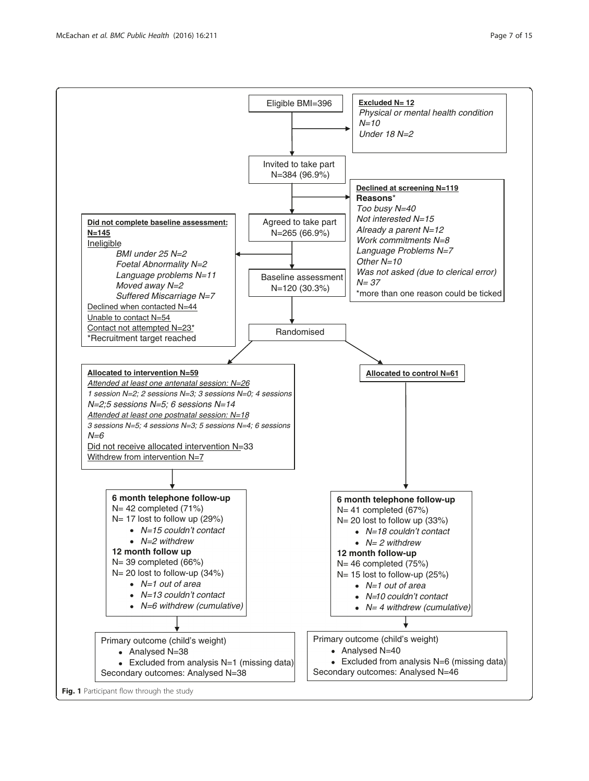<span id="page-6-0"></span>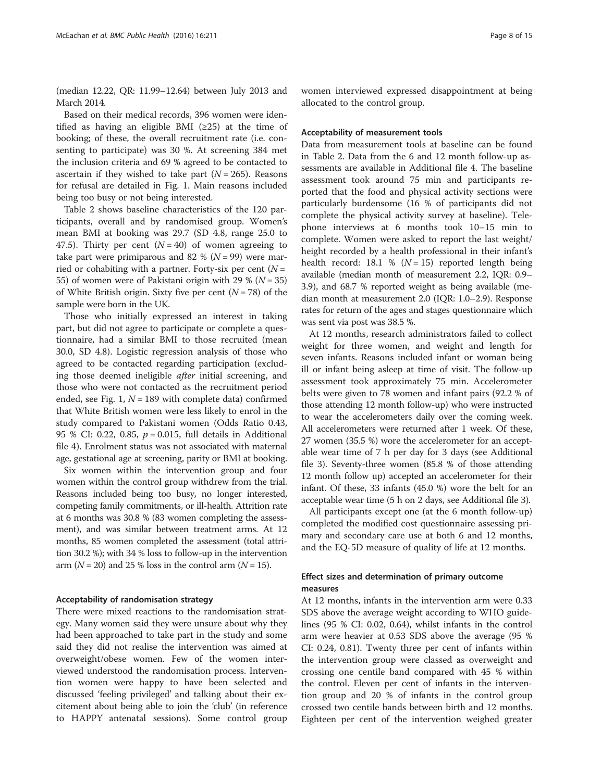(median 12.22, QR: 11.99–12.64) between July 2013 and March 2014.

Based on their medical records, 396 women were identified as having an eligible BMI ( $\geq$ 25) at the time of booking; of these, the overall recruitment rate (i.e. consenting to participate) was 30 %. At screening 384 met the inclusion criteria and 69 % agreed to be contacted to ascertain if they wished to take part  $(N = 265)$ . Reasons for refusal are detailed in Fig. [1.](#page-6-0) Main reasons included being too busy or not being interested.

Table [2](#page-8-0) shows baseline characteristics of the 120 participants, overall and by randomised group. Women's mean BMI at booking was 29.7 (SD 4.8, range 25.0 to 47.5). Thirty per cent  $(N = 40)$  of women agreeing to take part were primiparous and 82 % ( $N = 99$ ) were married or cohabiting with a partner. Forty-six per cent ( $N =$ 55) of women were of Pakistani origin with 29 % ( $N = 35$ ) of White British origin. Sixty five per cent  $(N = 78)$  of the sample were born in the UK.

Those who initially expressed an interest in taking part, but did not agree to participate or complete a questionnaire, had a similar BMI to those recruited (mean 30.0, SD 4.8). Logistic regression analysis of those who agreed to be contacted regarding participation (excluding those deemed ineligible after initial screening, and those who were not contacted as the recruitment period ended, see Fig. [1](#page-6-0),  $N = 189$  with complete data) confirmed that White British women were less likely to enrol in the study compared to Pakistani women (Odds Ratio 0.43, 95 % CI: 0.22, 0.85,  $p = 0.015$ , full details in Additional file [4](#page-12-0)). Enrolment status was not associated with maternal age, gestational age at screening, parity or BMI at booking.

Six women within the intervention group and four women within the control group withdrew from the trial. Reasons included being too busy, no longer interested, competing family commitments, or ill-health. Attrition rate at 6 months was 30.8 % (83 women completing the assessment), and was similar between treatment arms. At 12 months, 85 women completed the assessment (total attrition 30.2 %); with 34 % loss to follow-up in the intervention arm  $(N = 20)$  and 25 % loss in the control arm  $(N = 15)$ .

# Acceptability of randomisation strategy

There were mixed reactions to the randomisation strategy. Many women said they were unsure about why they had been approached to take part in the study and some said they did not realise the intervention was aimed at overweight/obese women. Few of the women interviewed understood the randomisation process. Intervention women were happy to have been selected and discussed 'feeling privileged' and talking about their excitement about being able to join the 'club' (in reference to HAPPY antenatal sessions). Some control group

women interviewed expressed disappointment at being allocated to the control group.

## Acceptability of measurement tools

Data from measurement tools at baseline can be found in Table [2](#page-8-0). Data from the 6 and 12 month follow-up assessments are available in Additional file [4.](#page-12-0) The baseline assessment took around 75 min and participants reported that the food and physical activity sections were particularly burdensome (16 % of participants did not complete the physical activity survey at baseline). Telephone interviews at 6 months took 10–15 min to complete. Women were asked to report the last weight/ height recorded by a health professional in their infant's health record: 18.1 %  $(N = 15)$  reported length being available (median month of measurement 2.2, IQR: 0.9– 3.9), and 68.7 % reported weight as being available (median month at measurement 2.0 (IQR: 1.0–2.9). Response rates for return of the ages and stages questionnaire which was sent via post was 38.5 %.

At 12 months, research administrators failed to collect weight for three women, and weight and length for seven infants. Reasons included infant or woman being ill or infant being asleep at time of visit. The follow-up assessment took approximately 75 min. Accelerometer belts were given to 78 women and infant pairs (92.2 % of those attending 12 month follow-up) who were instructed to wear the accelerometers daily over the coming week. All accelerometers were returned after 1 week. Of these, 27 women (35.5 %) wore the accelerometer for an acceptable wear time of 7 h per day for 3 days (see Additional file [3\)](#page-12-0). Seventy-three women (85.8 % of those attending 12 month follow up) accepted an accelerometer for their infant. Of these, 33 infants (45.0 %) wore the belt for an acceptable wear time (5 h on 2 days, see Additional file [3\)](#page-12-0).

All participants except one (at the 6 month follow-up) completed the modified cost questionnaire assessing primary and secondary care use at both 6 and 12 months, and the EQ-5D measure of quality of life at 12 months.

# Effect sizes and determination of primary outcome measures

At 12 months, infants in the intervention arm were 0.33 SDS above the average weight according to WHO guidelines (95 % CI: 0.02, 0.64), whilst infants in the control arm were heavier at 0.53 SDS above the average (95 % CI: 0.24, 0.81). Twenty three per cent of infants within the intervention group were classed as overweight and crossing one centile band compared with 45 % within the control. Eleven per cent of infants in the intervention group and 20 % of infants in the control group crossed two centile bands between birth and 12 months. Eighteen per cent of the intervention weighed greater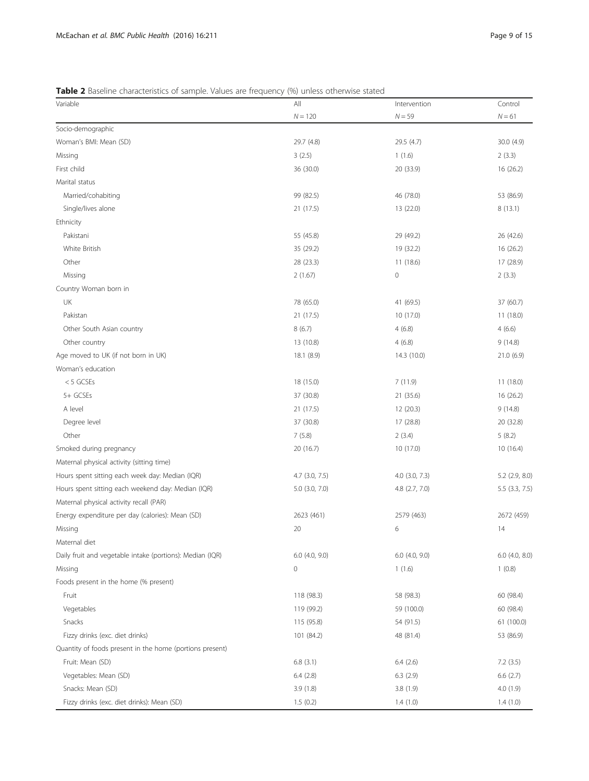# <span id="page-8-0"></span>Table 2 Baseline characteristics of sample. Values are frequency (%) unless otherwise stated

| Variable                                                  | All                | Intervention       | Control            |
|-----------------------------------------------------------|--------------------|--------------------|--------------------|
|                                                           | $N = 120$          | $N = 59$           | $N = 61$           |
| Socio-demographic                                         |                    |                    |                    |
| Woman's BMI: Mean (SD)                                    | 29.7 (4.8)         | 29.5 (4.7)         | 30.0 (4.9)         |
| Missing                                                   | 3(2.5)             | 1(1.6)             | 2(3.3)             |
| First child                                               | 36 (30.0)          | 20 (33.9)          | 16 (26.2)          |
| Marital status                                            |                    |                    |                    |
| Married/cohabiting                                        | 99 (82.5)          | 46 (78.0)          | 53 (86.9)          |
| Single/lives alone                                        | 21(17.5)           | 13 (22.0)          | 8(13.1)            |
| Ethnicity                                                 |                    |                    |                    |
| Pakistani                                                 | 55 (45.8)          | 29 (49.2)          | 26 (42.6)          |
| White British                                             | 35 (29.2)          | 19 (32.2)          | 16 (26.2)          |
| Other                                                     | 28 (23.3)          | 11(18.6)           | 17 (28.9)          |
| Missing                                                   | 2(1.67)            | $\mathbb O$        | 2(3.3)             |
| Country Woman born in                                     |                    |                    |                    |
| UK                                                        | 78 (65.0)          | 41 (69.5)          | 37 (60.7)          |
| Pakistan                                                  | 21 (17.5)          | 10 (17.0)          | 11 (18.0)          |
| Other South Asian country                                 | 8(6.7)             | 4(6.8)             | 4(6.6)             |
| Other country                                             | 13 (10.8)          | 4(6.8)             | 9(14.8)            |
| Age moved to UK (if not born in UK)                       | 18.1(8.9)          | 14.3 (10.0)        | 21.0 (6.9)         |
| Woman's education                                         |                    |                    |                    |
| $< 5$ GCSEs                                               | 18 (15.0)          | 7(11.9)            | 11(18.0)           |
| 5+ GCSEs                                                  | 37 (30.8)          | 21 (35.6)          | 16 (26.2)          |
| A level                                                   | 21 (17.5)          | 12 (20.3)          | 9(14.8)            |
| Degree level                                              | 37 (30.8)          | 17 (28.8)          | 20 (32.8)          |
| Other                                                     | 7(5.8)             | 2(3.4)             | 5(8.2)             |
| Smoked during pregnancy                                   | 20 (16.7)          | 10(17.0)           | 10(16.4)           |
| Maternal physical activity (sitting time)                 |                    |                    |                    |
| Hours spent sitting each week day: Median (IQR)           | $4.7$ $(3.0, 7.5)$ | $4.0$ $(3.0, 7.3)$ | 5.2 (2.9, 8.0)     |
| Hours spent sitting each weekend day: Median (IQR)        | $5.0$ $(3.0, 7.0)$ | $4.8$ $(2.7, 7.0)$ | $5.5$ $(3.3, 7.5)$ |
| Maternal physical activity recall (PAR)                   |                    |                    |                    |
| Energy expenditure per day (calories): Mean (SD)          | 2623 (461)         | 2579 (463)         | 2672 (459)         |
| Missing                                                   | 20                 | 6                  | 14                 |
| Maternal diet                                             |                    |                    |                    |
| Daily fruit and vegetable intake (portions): Median (IQR) | $6.0$ $(4.0, 9.0)$ | $6.0$ $(4.0, 9.0)$ | $6.0$ $(4.0, 8.0)$ |
| Missing                                                   | $\mathbf 0$        | 1(1.6)             | 1(0.8)             |
| Foods present in the home (% present)                     |                    |                    |                    |
| Fruit                                                     | 118 (98.3)         | 58 (98.3)          | 60 (98.4)          |
| Vegetables                                                | 119 (99.2)         | 59 (100.0)         | 60 (98.4)          |
| Snacks                                                    | 115 (95.8)         | 54 (91.5)          | 61 (100.0)         |
| Fizzy drinks (exc. diet drinks)                           | 101 (84.2)         | 48 (81.4)          | 53 (86.9)          |
| Quantity of foods present in the home (portions present)  |                    |                    |                    |
| Fruit: Mean (SD)                                          | 6.8(3.1)           | 6.4(2.6)           | 7.2(3.5)           |
| Vegetables: Mean (SD)                                     | 6.4(2.8)           | 6.3(2.9)           | 6.6(2.7)           |
| Snacks: Mean (SD)                                         | 3.9(1.8)           | 3.8(1.9)           | 4.0(1.9)           |
| Fizzy drinks (exc. diet drinks): Mean (SD)                | 1.5(0.2)           | 1.4(1.0)           | 1.4(1.0)           |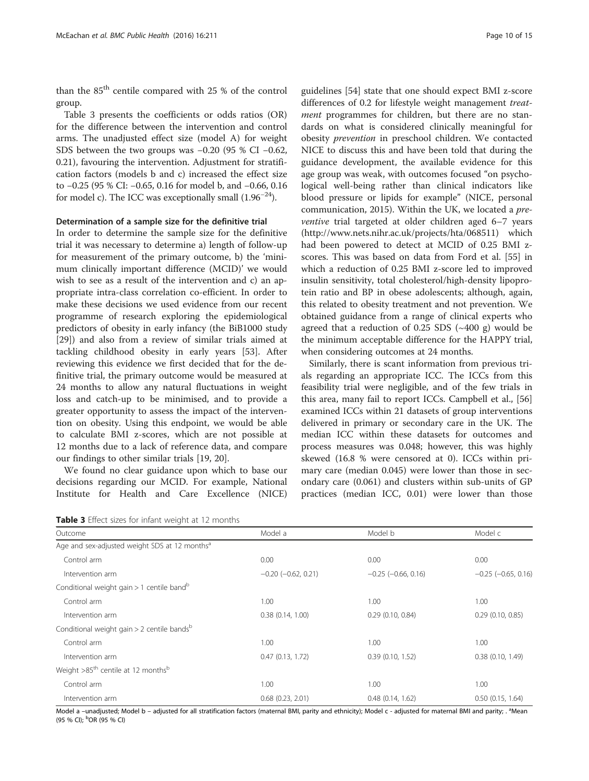than the 85<sup>th</sup> centile compared with 25 % of the control group.

Table 3 presents the coefficients or odds ratios (OR) for the difference between the intervention and control arms. The unadjusted effect size (model A) for weight SDS between the two groups was −0.20 (95 % CI −0.62, 0.21), favouring the intervention. Adjustment for stratification factors (models b and c) increased the effect size to −0.25 (95 % CI: −0.65, 0.16 for model b, and −0.66, 0.16 for model c). The ICC was exceptionally small  $(1.96^{-24})$ .

## Determination of a sample size for the definitive trial

In order to determine the sample size for the definitive trial it was necessary to determine a) length of follow-up for measurement of the primary outcome, b) the 'minimum clinically important difference (MCID)' we would wish to see as a result of the intervention and c) an appropriate intra-class correlation co-efficient. In order to make these decisions we used evidence from our recent programme of research exploring the epidemiological predictors of obesity in early infancy (the BiB1000 study [[29\]](#page-13-0)) and also from a review of similar trials aimed at tackling childhood obesity in early years [[53\]](#page-14-0). After reviewing this evidence we first decided that for the definitive trial, the primary outcome would be measured at 24 months to allow any natural fluctuations in weight loss and catch-up to be minimised, and to provide a greater opportunity to assess the impact of the intervention on obesity. Using this endpoint, we would be able to calculate BMI z-scores, which are not possible at 12 months due to a lack of reference data, and compare our findings to other similar trials [[19, 20\]](#page-13-0).

We found no clear guidance upon which to base our decisions regarding our MCID. For example, National Institute for Health and Care Excellence (NICE)

|  |  | Table 3 Effect sizes for infant weight at 12 months |  |  |  |  |
|--|--|-----------------------------------------------------|--|--|--|--|
|--|--|-----------------------------------------------------|--|--|--|--|

guidelines [[54\]](#page-14-0) state that one should expect BMI z-score differences of 0.2 for lifestyle weight management treatment programmes for children, but there are no standards on what is considered clinically meaningful for obesity prevention in preschool children. We contacted NICE to discuss this and have been told that during the guidance development, the available evidence for this age group was weak, with outcomes focused "on psychological well-being rather than clinical indicators like blood pressure or lipids for example" (NICE, personal communication, 2015). Within the UK, we located a preventive trial targeted at older children aged 6–7 years ([http://www.nets.nihr.ac.uk/projects/hta/068511\)](http://www.nets.nihr.ac.uk/projects/hta/068511) which had been powered to detect at MCID of 0.25 BMI zscores. This was based on data from Ford et al. [[55\]](#page-14-0) in which a reduction of 0.25 BMI z-score led to improved insulin sensitivity, total cholesterol/high-density lipoprotein ratio and BP in obese adolescents; although, again, this related to obesity treatment and not prevention. We obtained guidance from a range of clinical experts who agreed that a reduction of 0.25 SDS  $(\sim 400 \text{ g})$  would be the minimum acceptable difference for the HAPPY trial, when considering outcomes at 24 months.

Similarly, there is scant information from previous trials regarding an appropriate ICC. The ICCs from this feasibility trial were negligible, and of the few trials in this area, many fail to report ICCs. Campbell et al., [[56](#page-14-0)] examined ICCs within 21 datasets of group interventions delivered in primary or secondary care in the UK. The median ICC within these datasets for outcomes and process measures was 0.048; however, this was highly skewed (16.8 % were censored at 0). ICCs within primary care (median 0.045) were lower than those in secondary care (0.061) and clusters within sub-units of GP practices (median ICC, 0.01) were lower than those

| Outcome                                                    | Model a                   | Model b                 | Model c                 |
|------------------------------------------------------------|---------------------------|-------------------------|-------------------------|
| Age and sex-adjusted weight SDS at 12 months <sup>a</sup>  |                           |                         |                         |
| Control arm                                                | 0.00                      | 0.00                    | 0.00                    |
| Intervention arm                                           | $-0.20$ ( $-0.62$ , 0.21) | $-0.25$ $(-0.66, 0.16)$ | $-0.25$ $(-0.65, 0.16)$ |
| Conditional weight gain > 1 centile band <sup>b</sup>      |                           |                         |                         |
| Control arm                                                | 1.00                      | 1.00                    | 1.00                    |
| Intervention arm                                           | 0.38(0.14, 1.00)          | 0.29(0.10, 0.84)        | 0.29(0.10, 0.85)        |
| Conditional weight gain > 2 centile bands <sup>b</sup>     |                           |                         |                         |
| Control arm                                                | 1.00                      | 1.00                    | 1.00                    |
| Intervention arm                                           | 0.47(0.13, 1.72)          | 0.39(0.10, 1.52)        | 0.38(0.10, 1.49)        |
| Weight >85 <sup>th</sup> centile at 12 months <sup>b</sup> |                           |                         |                         |
| Control arm                                                | 1.00                      | 1.00                    | 1.00                    |
| Intervention arm                                           | $0.68$ $(0.23, 2.01)$     | $0.48$ $(0.14, 1.62)$   | 0.50(0.15, 1.64)        |

Model a -unadjusted; Model b - adjusted for all stratification factors (maternal BMI, parity and ethnicity); Model c - adjusted for maternal BMI and parity; . <sup>a</sup>Mean (95 % CI); <sup>b</sup>OR (95 % CI)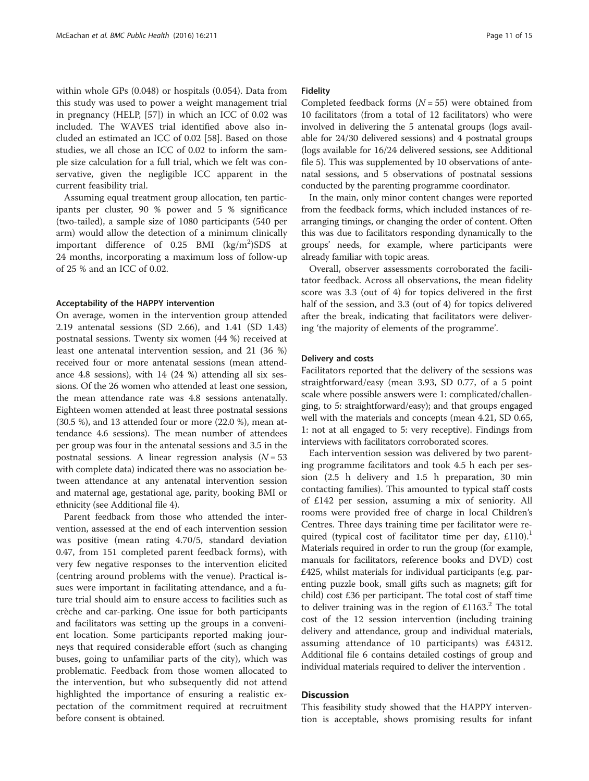within whole GPs (0.048) or hospitals (0.054). Data from this study was used to power a weight management trial in pregnancy (HELP, [\[57](#page-14-0)]) in which an ICC of 0.02 was included. The WAVES trial identified above also included an estimated an ICC of 0.02 [[58](#page-14-0)]. Based on those studies, we all chose an ICC of 0.02 to inform the sample size calculation for a full trial, which we felt was conservative, given the negligible ICC apparent in the current feasibility trial.

Assuming equal treatment group allocation, ten participants per cluster, 90 % power and 5 % significance (two-tailed), a sample size of 1080 participants (540 per arm) would allow the detection of a minimum clinically important difference of 0.25 BMI (kg/m<sup>2</sup>)SDS at 24 months, incorporating a maximum loss of follow-up of 25 % and an ICC of 0.02.

## Acceptability of the HAPPY intervention

On average, women in the intervention group attended 2.19 antenatal sessions (SD 2.66), and 1.41 (SD 1.43) postnatal sessions. Twenty six women (44 %) received at least one antenatal intervention session, and 21 (36 %) received four or more antenatal sessions (mean attendance 4.8 sessions), with 14 (24 %) attending all six sessions. Of the 26 women who attended at least one session, the mean attendance rate was 4.8 sessions antenatally. Eighteen women attended at least three postnatal sessions (30.5 %), and 13 attended four or more (22.0 %), mean attendance 4.6 sessions). The mean number of attendees per group was four in the antenatal sessions and 3.5 in the postnatal sessions. A linear regression analysis  $(N = 53$ with complete data) indicated there was no association between attendance at any antenatal intervention session and maternal age, gestational age, parity, booking BMI or ethnicity (see Additional file [4](#page-12-0)).

Parent feedback from those who attended the intervention, assessed at the end of each intervention session was positive (mean rating 4.70/5, standard deviation 0.47, from 151 completed parent feedback forms), with very few negative responses to the intervention elicited (centring around problems with the venue). Practical issues were important in facilitating attendance, and a future trial should aim to ensure access to facilities such as crèche and car-parking. One issue for both participants and facilitators was setting up the groups in a convenient location. Some participants reported making journeys that required considerable effort (such as changing buses, going to unfamiliar parts of the city), which was problematic. Feedback from those women allocated to the intervention, but who subsequently did not attend highlighted the importance of ensuring a realistic expectation of the commitment required at recruitment before consent is obtained.

## Fidelity

Completed feedback forms  $(N = 55)$  were obtained from 10 facilitators (from a total of 12 facilitators) who were involved in delivering the 5 antenatal groups (logs available for 24/30 delivered sessions) and 4 postnatal groups (logs available for 16/24 delivered sessions, see Additional file [5](#page-12-0)). This was supplemented by 10 observations of antenatal sessions, and 5 observations of postnatal sessions conducted by the parenting programme coordinator.

In the main, only minor content changes were reported from the feedback forms, which included instances of rearranging timings, or changing the order of content. Often this was due to facilitators responding dynamically to the groups' needs, for example, where participants were already familiar with topic areas.

Overall, observer assessments corroborated the facilitator feedback. Across all observations, the mean fidelity score was 3.3 (out of 4) for topics delivered in the first half of the session, and 3.3 (out of 4) for topics delivered after the break, indicating that facilitators were delivering 'the majority of elements of the programme'.

## Delivery and costs

Facilitators reported that the delivery of the sessions was straightforward/easy (mean 3.93, SD 0.77, of a 5 point scale where possible answers were 1: complicated/challenging, to 5: straightforward/easy); and that groups engaged well with the materials and concepts (mean 4.21, SD 0.65, 1: not at all engaged to 5: very receptive). Findings from interviews with facilitators corroborated scores.

Each intervention session was delivered by two parenting programme facilitators and took 4.5 h each per session (2.5 h delivery and 1.5 h preparation, 30 min contacting families). This amounted to typical staff costs of £142 per session, assuming a mix of seniority. All rooms were provided free of charge in local Children's Centres. Three days training time per facilitator were required (typical cost of facilitator time per day,  $£110).<sup>1</sup>$ Materials required in order to run the group (for example, manuals for facilitators, reference books and DVD) cost £425, whilst materials for individual participants (e.g. parenting puzzle book, small gifts such as magnets; gift for child) cost £36 per participant. The total cost of staff time to deliver training was in the region of  $£1163<sup>2</sup>$ . The total cost of the 12 session intervention (including training delivery and attendance, group and individual materials, assuming attendance of 10 participants) was £4312. Additional file [6](#page-12-0) contains detailed costings of group and individual materials required to deliver the intervention .

# **Discussion**

This feasibility study showed that the HAPPY intervention is acceptable, shows promising results for infant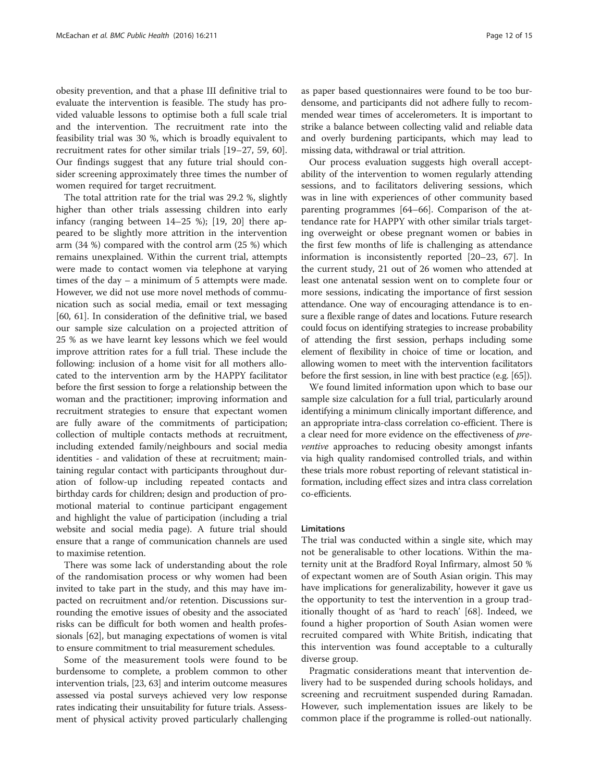obesity prevention, and that a phase III definitive trial to evaluate the intervention is feasible. The study has provided valuable lessons to optimise both a full scale trial and the intervention. The recruitment rate into the feasibility trial was 30 %, which is broadly equivalent to recruitment rates for other similar trials [\[19](#page-13-0)–[27,](#page-13-0) [59, 60](#page-14-0)]. Our findings suggest that any future trial should consider screening approximately three times the number of women required for target recruitment.

The total attrition rate for the trial was 29.2 %, slightly higher than other trials assessing children into early infancy (ranging between 14–25 %); [[19, 20](#page-13-0)] there appeared to be slightly more attrition in the intervention arm (34 %) compared with the control arm (25 %) which remains unexplained. Within the current trial, attempts were made to contact women via telephone at varying times of the day – a minimum of 5 attempts were made. However, we did not use more novel methods of communication such as social media, email or text messaging [[60](#page-14-0), [61\]](#page-14-0). In consideration of the definitive trial, we based our sample size calculation on a projected attrition of 25 % as we have learnt key lessons which we feel would improve attrition rates for a full trial. These include the following: inclusion of a home visit for all mothers allocated to the intervention arm by the HAPPY facilitator before the first session to forge a relationship between the woman and the practitioner; improving information and recruitment strategies to ensure that expectant women are fully aware of the commitments of participation; collection of multiple contacts methods at recruitment, including extended family/neighbours and social media identities - and validation of these at recruitment; maintaining regular contact with participants throughout duration of follow-up including repeated contacts and birthday cards for children; design and production of promotional material to continue participant engagement and highlight the value of participation (including a trial website and social media page). A future trial should ensure that a range of communication channels are used to maximise retention.

There was some lack of understanding about the role of the randomisation process or why women had been invited to take part in the study, and this may have impacted on recruitment and/or retention. Discussions surrounding the emotive issues of obesity and the associated risks can be difficult for both women and health professionals [\[62\]](#page-14-0), but managing expectations of women is vital to ensure commitment to trial measurement schedules.

Some of the measurement tools were found to be burdensome to complete, a problem common to other intervention trials, [\[23,](#page-13-0) [63](#page-14-0)] and interim outcome measures assessed via postal surveys achieved very low response rates indicating their unsuitability for future trials. Assessment of physical activity proved particularly challenging as paper based questionnaires were found to be too burdensome, and participants did not adhere fully to recommended wear times of accelerometers. It is important to strike a balance between collecting valid and reliable data and overly burdening participants, which may lead to missing data, withdrawal or trial attrition.

Our process evaluation suggests high overall acceptability of the intervention to women regularly attending sessions, and to facilitators delivering sessions, which was in line with experiences of other community based parenting programmes [\[64](#page-14-0)–[66\]](#page-14-0). Comparison of the attendance rate for HAPPY with other similar trials targeting overweight or obese pregnant women or babies in the first few months of life is challenging as attendance information is inconsistently reported [[20](#page-13-0)–[23,](#page-13-0) [67](#page-14-0)]. In the current study, 21 out of 26 women who attended at least one antenatal session went on to complete four or more sessions, indicating the importance of first session attendance. One way of encouraging attendance is to ensure a flexible range of dates and locations. Future research could focus on identifying strategies to increase probability of attending the first session, perhaps including some element of flexibility in choice of time or location, and allowing women to meet with the intervention facilitators before the first session, in line with best practice (e.g. [\[65\]](#page-14-0)).

We found limited information upon which to base our sample size calculation for a full trial, particularly around identifying a minimum clinically important difference, and an appropriate intra-class correlation co-efficient. There is a clear need for more evidence on the effectiveness of preventive approaches to reducing obesity amongst infants via high quality randomised controlled trials, and within these trials more robust reporting of relevant statistical information, including effect sizes and intra class correlation co-efficients.

# Limitations

The trial was conducted within a single site, which may not be generalisable to other locations. Within the maternity unit at the Bradford Royal Infirmary, almost 50 % of expectant women are of South Asian origin. This may have implications for generalizability, however it gave us the opportunity to test the intervention in a group traditionally thought of as 'hard to reach' [\[68\]](#page-14-0). Indeed, we found a higher proportion of South Asian women were recruited compared with White British, indicating that this intervention was found acceptable to a culturally diverse group.

Pragmatic considerations meant that intervention delivery had to be suspended during schools holidays, and screening and recruitment suspended during Ramadan. However, such implementation issues are likely to be common place if the programme is rolled-out nationally.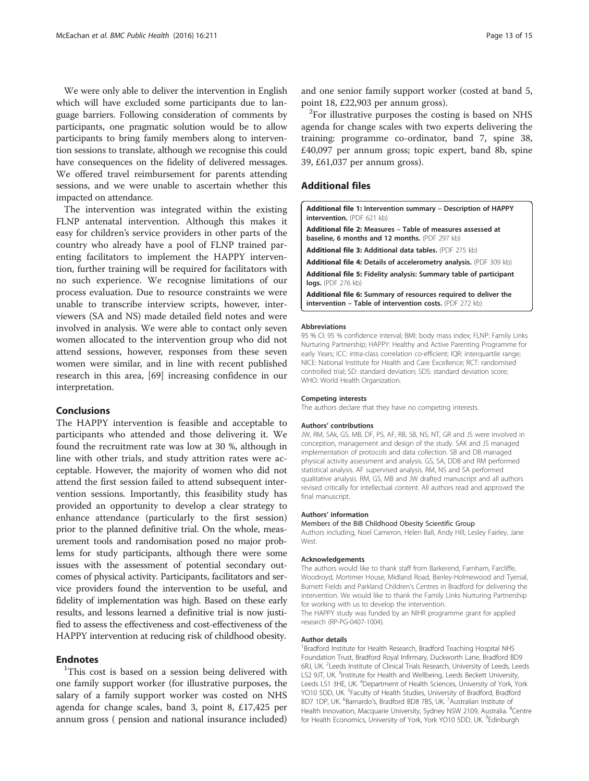<span id="page-12-0"></span>We were only able to deliver the intervention in English which will have excluded some participants due to language barriers. Following consideration of comments by participants, one pragmatic solution would be to allow participants to bring family members along to intervention sessions to translate, although we recognise this could have consequences on the fidelity of delivered messages. We offered travel reimbursement for parents attending sessions, and we were unable to ascertain whether this impacted on attendance.

The intervention was integrated within the existing FLNP antenatal intervention. Although this makes it easy for children's service providers in other parts of the country who already have a pool of FLNP trained parenting facilitators to implement the HAPPY intervention, further training will be required for facilitators with no such experience. We recognise limitations of our process evaluation. Due to resource constraints we were unable to transcribe interview scripts, however, interviewers (SA and NS) made detailed field notes and were involved in analysis. We were able to contact only seven women allocated to the intervention group who did not attend sessions, however, responses from these seven women were similar, and in line with recent published research in this area, [[69\]](#page-14-0) increasing confidence in our interpretation.

# Conclusions

The HAPPY intervention is feasible and acceptable to participants who attended and those delivering it. We found the recruitment rate was low at 30 %, although in line with other trials, and study attrition rates were acceptable. However, the majority of women who did not attend the first session failed to attend subsequent intervention sessions. Importantly, this feasibility study has provided an opportunity to develop a clear strategy to enhance attendance (particularly to the first session) prior to the planned definitive trial. On the whole, measurement tools and randomisation posed no major problems for study participants, although there were some issues with the assessment of potential secondary outcomes of physical activity. Participants, facilitators and service providers found the intervention to be useful, and fidelity of implementation was high. Based on these early results, and lessons learned a definitive trial is now justified to assess the effectiveness and cost-effectiveness of the HAPPY intervention at reducing risk of childhood obesity.

## **Endnotes**

<sup>1</sup>This cost is based on a session being delivered with one family support worker (for illustrative purposes, the salary of a family support worker was costed on NHS agenda for change scales, band 3, point 8, £17,425 per annum gross ( pension and national insurance included)

and one senior family support worker (costed at band 5, point 18, £22,903 per annum gross).

 $^{2}$ For illustrative purposes the costing is based on NHS agenda for change scales with two experts delivering the training: programme co-ordinator, band 7, spine 38, £40,097 per annum gross; topic expert, band 8b, spine 39, £61,037 per annum gross).

# Additional files

[Additional file 1:](dx.doi.org/10.1186/s12889-016-2861-z) Intervention summary – Description of HAPPY intervention. (PDF 621 kb)

[Additional file 2:](dx.doi.org/10.1186/s12889-016-2861-z) Measures – Table of measures assessed at baseline, 6 months and 12 months. (PDF 297 kb)

[Additional file 3:](dx.doi.org/10.1186/s12889-016-2861-z) Additional data tables. (PDF 275 kb)

[Additional file 4:](dx.doi.org/10.1186/s12889-016-2861-z) Details of accelerometry analysis. (PDF 309 kb)

[Additional file 5:](dx.doi.org/10.1186/s12889-016-2861-z) Fidelity analysis: Summary table of participant logs. (PDF 276 kb)

[Additional file 6:](dx.doi.org/10.1186/s12889-016-2861-z) Summary of resources required to deliver the intervention – Table of intervention costs. (PDF 272 kb)

### Abbreviations

95 % CI: 95 % confidence interval; BMI: body mass index; FLNP: Family Links Nurturing Partnership; HAPPY: Healthy and Active Parenting Programme for early Years; ICC: intra-class correlation co-efficient; IQR: interquartile range; NICE: National Institute for Health and Care Excellence; RCT: randomised controlled trial; SD: standard deviation; SDS: standard deviation score; WHO: World Health Organization.

### Competing interests

The authors declare that they have no competing interests.

### Authors' contributions

JW, RM, SAk, GS, MB, DF, PS, AF, RB, SB, NS, NT, GR and JS were involved in conception, management and design of the study. SAK and JS managed implementation of protocols and data collection. SB and DB managed physical activity assessment and analysis. GS, SA, DDB and RM performed statistical analysis. AF supervised analysis. RM, NS and SA performed qualitative analysis. RM, GS, MB and JW drafted manuscript and all authors revised critically for intellectual content. All authors read and approved the final manuscript.

### Authors' information

### Members of the BiB Childhood Obesity Scientific Group

Authors including, Noel Cameron, Helen Ball, Andy Hill, Lesley Fairley, Jane **West** 

### Acknowledgements

The authors would like to thank staff from Barkerend, Farnham, Farcliffe, Woodroyd, Mortimer House, Midland Road, Bierley-Holmewood and Tyersal, Burnett Fields and Parkland Children's Centres in Bradford for delivering the intervention. We would like to thank the Family Links Nurturing Partnership for working with us to develop the intervention.

The HAPPY study was funded by an NIHR programme grant for applied research (RP-PG-0407-1004).

## Author details

<sup>1</sup>Bradford Institute for Health Research, Bradford Teaching Hospital NHS Foundation Trust, Bradford Royal Infirmary, Duckworth Lane, Bradford BD9 6RJ, UK. <sup>2</sup> Leeds Institute of Clinical Trials Research, University of Leeds, Leeds LS2 9JT, UK. <sup>3</sup>Institute for Health and Wellbeing, Leeds Beckett University Leeds LS1 3HE, UK. <sup>4</sup>Department of Health Sciences, University of York, York YO10 5DD, UK. <sup>5</sup>Faculty of Health Studies, University of Bradford, Bradford BD7 1DP, UK. <sup>6</sup>Barnardo's, Bradford BD8 7BS, UK. <sup>7</sup>Australian Institute of Health Innovation, Macquarie University, Sydney NSW 2109, Australia. <sup>8</sup>Centre for Health Economics, University of York, York YO10 5DD, UK. <sup>9</sup>Edinburgh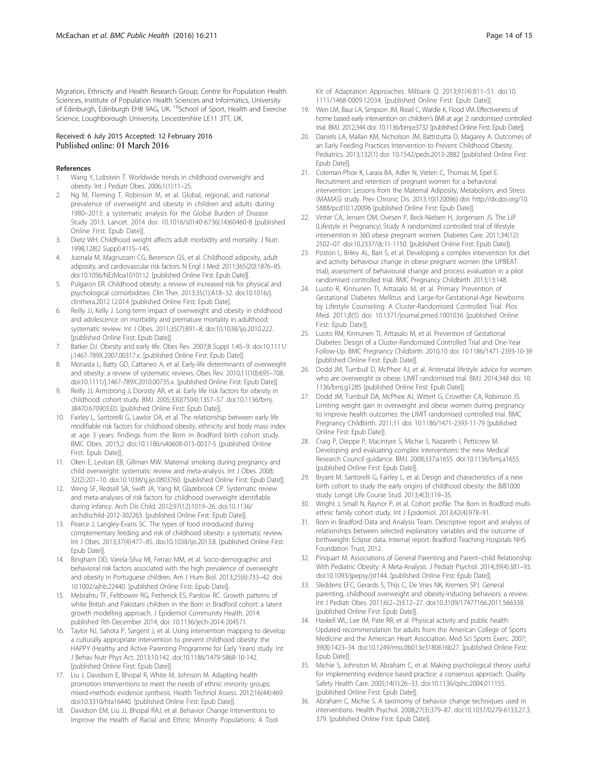<span id="page-13-0"></span>Migration, Ethnicity and Health Research Group, Centre for Population Health Sciences, Institute of Population Health Sciences and Informatics, University of Edinburgh, Edinburgh EH8 9AG, UK. <sup>10</sup>School of Sport, Health and Exercise Science, Loughborough University, Leicestershire LE11 3TT, UK.

## Received: 6 July 2015 Accepted: 12 February 2016 Published online: 01 March 2016

### References

- 1. Wang Y, Lobstein T. Worldwide trends in childhood overweight and obesity. Int J Pediatr Obes. 2006;1(1):11–25.
- Ng M, Fleming T, Robinson M, et al. Global, regional, and national prevalence of overweight and obesity in children and adults during 1980–2013: a systematic analysis for the Global Burden of Disease Study 2013. Lancet. 2014 doi: [10.1016/s0140-6736\(14\)60460-8](http://dx.doi.org/10.1016/s0140-6736(14)60460-8) [published Online First: Epub Date]|.
- 3. Dietz WH. Childhood weight affects adult morbidity and mortality. J Nutr. 1998;128(2 Suppl):411S–14S.
- 4. Juonala M, Magnussen CG, Berenson GS, et al. Childhood adiposity, adult adiposity, and cardiovascular risk factors. N Engl J Med. 2011;365(20):1876–85. doi:[10.1056/NEJMoa1010112](http://dx.doi.org/10.1056/NEJMoa1010112). [published Online First: Epub Date]|.
- 5. Pulgaron ER. Childhood obesity: a review of increased risk for physical and psychological comorbidities. Clin Ther. 2013;35(1):A18–32. doi[:10.1016/j.](http://dx.doi.org/10.1016/j.clinthera.2012.12.014) [clinthera.2012.12.014](http://dx.doi.org/10.1016/j.clinthera.2012.12.014) [published Online First: Epub Date].
- 6. Reilly JJ, Kelly J. Long-term impact of overweight and obesity in childhood and adolescence on morbidity and premature mortality in adulthood: systematic review. Int J Obes. 2011;35(7):891–8. doi[:10.1038/ijo.2010.222](http://dx.doi.org/10.1038/ijo.2010.222). [published Online First: Epub Date]|.
- 7. Barker DJ. Obesity and early life. Obes Rev. 2007;8 Suppl 1:45–9. doi:[10.1111/](http://dx.doi.org/10.1111/j.1467-789X.2007.00317.x) [j.1467-789X.2007.00317.x.](http://dx.doi.org/10.1111/j.1467-789X.2007.00317.x) [published Online First: Epub Date]|.
- 8. Monasta L, Batty GD, Cattaneo A, et al. Early-life determinants of overweight and obesity: a review of systematic reviews. Obes Rev. 2010;11(10):695–708. doi[:10.1111/j.1467-789X.2010.00735.x.](http://dx.doi.org/10.1111/j.1467-789X.2010.00735.x) [published Online First: Epub Date]|.
- Reilly JJ, Armstrong J, Dorosty AR, et al. Early life risk factors for obesity in childhood: cohort study. BMJ. 2005;330(7504):1357–57. doi:[10.1136/bmj.](http://dx.doi.org/10.1136/bmj.38470.670903.E0) [38470.670903.E0](http://dx.doi.org/10.1136/bmj.38470.670903.E0). [published Online First: Epub Date]|.
- 10. Fairley L, Santorelli G, Lawlor DA, et al. The relationship between early life modifiable risk factors for childhood obesity, ethnicity and body mass index at age 3 years: findings from the Born in Bradford birth cohort study. BMC Obes. 2015;2 doi[:10.1186/s40608-015-0037-5](http://dx.doi.org/10.1186/s40608-015-0037-5) [published Online First: Epub Date]|.
- 11. Oken E, Levitan EB, Gillman MW. Maternal smoking during pregnancy and child overweight: systematic review and meta-analysis. Int J Obes. 2008; 32(2):201–10. doi[:10.1038/sj.ijo.0803760](http://dx.doi.org/10.1038/sj.ijo.0803760). [published Online First: Epub Date]|.
- 12. Weng SF, Redsell SA, Swift JA, Yang M, Glazebrook CP. Systematic review and meta-analyses of risk factors for childhood overweight identifiable during infancy. Arch Dis Child. 2012;97(12):1019–26. doi[:10.1136/](http://dx.doi.org/10.1136/archdischild-2012-302263) [archdischild-2012-302263.](http://dx.doi.org/10.1136/archdischild-2012-302263) [published Online First: Epub Date]|.
- 13. Pearce J, Langley-Evans SC. The types of food introduced during complementary feeding and risk of childhood obesity: a systematic review. Int J Obes. 2013;37(4):477–85. doi[:10.1038/ijo.2013.8](http://dx.doi.org/10.1038/ijo.2013.8). [published Online First: Epub Date]|.
- 14. Bingham DD, Varela-Silva MI, Ferrao MM, et al. Socio-demographic and behavioral risk factors associated with the high prevalence of overweight and obesity in Portuguese children. Am J Hum Biol. 2013;25(6):733–42. doi: [10.1002/ajhb.22440](http://dx.doi.org/10.1002/ajhb.22440). [published Online First: Epub Date]|.
- 15. Mebrahtu TF, Feltbower RG, Petherick ES, Parslow RC. Growth patterns of white British and Pakistani children in the Born in Bradford cohort: a latent growth modelling approach. J Epidemiol Community Health. 2014. published 9th December 2014, doi: [10.1136/jech-2014-204571.](http://dx.doi.org/10.1136/jech-2014-204571)
- 16. Taylor NJ, Sahota P, Sargent J, et al. Using intervention mapping to develop a culturally appropriate intervention to prevent childhood obesity: the HAPPY (Healthy and Active Parenting Programme for Early Years) study. Int J Behav Nutr Phys Act. 2013;10:142. doi:[10.1186/1479-5868-10-142.](http://dx.doi.org/10.1186/1479-5868-10-142) [published Online First: Epub Date]|.
- 17. Liu J, Davidson E, Bhopal R, White M, Johnson M. Adapting health promotion interventions to meet the needs of ethnic minority groups: mixed-methods evidence synthesis. Health Technol Assess. 2012;16(44):469. doi[:10.3310/hta16440](http://dx.doi.org/10.3310/hta16440). [published Online First: Epub Date]|.
- 18. Davidson EM, Liu JJ, Bhopal RAJ, et al. Behavior Change Interventions to Improve the Health of Racial and Ethnic Minority Populations: A Tool

Kit of Adaptation Approaches. Milbank Q. 2013;91(4):811–51. doi[:10.](http://dx.doi.org/10.1111/1468-0009.12034) [1111/1468-0009.12034](http://dx.doi.org/10.1111/1468-0009.12034). [published Online First: Epub Date]|.

- 19. Wen LM, Baur LA, Simpson JM, Rissel C, Wardle K, Flood VM. Effectiveness of home based early intervention on children's BMI at age 2: randomised controlled trial. BMJ. 2012;344 doi: [10.1136/bmj.e3732](http://dx.doi.org/10.1136/bmj.e3732) [published Online First: Epub Date]|.
- 20. Daniels LA, Mallan KM, Nicholson JM, Battistutta D, Magarey A. Outcomes of an Early Feeding Practices Intervention to Prevent Childhood Obesity. Pediatrics. 2013;132(1) doi: [10.1542/peds.2013-2882](http://dx.doi.org/10.1542/peds.2013-2882) [published Online First: Epub Date]|.
- 21. Coleman-Phox K, Laraia BA, Adler N, Vieten C, Thomas M, Epel E. Recruitment and retention of pregnant women for a behavioral intervention: Lessons from the Maternal Adiposity, Metabolism, and Stress (MAMAS) study. Prev Chronic Dis. 2013;10(120096) doi: [http://dx.doi.org/10.](http://dx.doi.org/10.5888/pcd10.120096) [5888/pcd10.120096](http://dx.doi.org/10.5888/pcd10.120096) [published Online First: Epub Date]|.
- 22. Vinter CA, Jensen DM, Ovesen P, Beck-Nielsen H, Jorgensen JS. The LiP (Lifestyle in Pregnancy) Study A randomized controlled trial of lifestyle intervention in 360 obese pregnant women. Diabetes Care. 2011;34(12): 2502–07. doi[:10.2337/dc11-1150.](http://dx.doi.org/10.2337/dc11-1150) [published Online First: Epub Date]|.
- 23. Poston L, Briley AL, Barr S, et al. Developing a complex intervention for diet and activity behaviour change in obese pregnant women (the UPBEAT trial); assessment of behavioural change and process evaluation in a pilot randomised controlled trial. BMC Pregnancy Childbirth. 2013;13:148.
- 24. Luoto R, Kinnunen TI, Aittasalo M, et al. Primary Prevention of Gestational Diabetes Mellitus and Large-for-Gestational-Age Newborns by Lifestyle Counseling: A Cluster-Randomized Controlled Trial. Plos Med. 2011;8(5) doi: [10.1371/journal.pmed.1001036](http://dx.doi.org/10.1371/journal.pmed.1001036) [published Online First: Epub Date]|.
- 25. Luoto RM, Kinnunen TI, Aittasalo M, et al. Prevention of Gestational Diabetes: Design of a Cluster-Randomized Controlled Trial and One-Year Follow-Up. BMC Pregnancy Childbirth. 2010;10 doi: [10.1186/1471-2393-10-39](http://dx.doi.org/10.1186/1471-2393-10-39) [published Online First: Epub Date]|.
- 26. Dodd JM, Turnbull D, McPhee AJ, et al. Antenatal lifestyle advice for women who are overweight or obese: LIMIT randomised trial. BMJ. 2014;348 doi: [10.](http://dx.doi.org/10.1136/bmj.g1285) [1136/bmj.g1285](http://dx.doi.org/10.1136/bmj.g1285) [published Online First: Epub Date]|.
- 27. Dodd JM, Turnbull DA, McPhee AJ, Wittert G, Crowther CA, Robinson JS. Limiting weight gain in overweight and obese women during pregnancy to improve health outcomes: the LIMIT randomised controlled trial. BMC Pregnancy Childbirth. 2011;11 doi: [10.1186/1471-2393-11-79](http://dx.doi.org/10.1186/1471-2393-11-79) [published Online First: Epub Date]|.
- 28. Craig P, Dieppe P, Macintyre S, Michie S, Nazareth I, Petticrew M. Developing and evaluating complex interventions: the new Medical Research Council guidance. BMJ. 2008;337:a1655. doi:[10.1136/bmj.a1655](http://dx.doi.org/10.1136/bmj.a1655). [published Online First: Epub Date]|.
- 29. Bryant M, Santorelli G, Fairley L, et al. Design and characteristics of a new birth cohort to study the early origins of childhood obesity: the BiB1000 study. Longit Life Course Stud. 2013;4(3):119–35.
- 30. Wright J, Small N, Raynor P, et al. Cohort profile: The Born in Bradford multiethnic family cohort study. Int J Epidemiol. 2013;42(4):978–91.
- 31. Born in Bradford Data and Analysis Team. Descriptive report and analysis of relationships between selected explanatory variables and the outcome of birthweight: Eclipse data. Internal report. Bradford Teaching Hospitals NHS Foundation Trust, 2012.
- 32. Pinquart M. Associations of General Parenting and Parent–child Relationship With Pediatric Obesity: A Meta-Analysis. J Pediatr Psychol. 2014;39(4):381–93. doi[:10.1093/jpepsy/jst144](http://dx.doi.org/10.1093/jpepsy/jst144). [published Online First: Epub Date]|.
- 33. Sleddens EFC, Gerards S, Thijs C, De Vries NK, Kremers SPJ. General parenting, childhood overweight and obesity-inducing behaviors: a review. Int J Pediatr Obes. 2011;6(2–2):E12–27. doi[:10.3109/17477166.2011.566339](http://dx.doi.org/10.3109/17477166.2011.566339). [published Online First: Epub Date]|.
- 34. Haskell WL, Lee IM, Pate RR, et al. Physical activity and public health: Updated recommendation for adults from the American College of Sports Medicine and the American Heart Association. Med Sci Sports Exerc. 2007; 39(8):1423–34. doi:[10.1249/mss.0b013e3180616b27](http://dx.doi.org/10.1249/mss.0b013e3180616b27). [published Online First: Epub Date]|.
- 35. Michie S, Johnston M, Abraham C, et al. Making psychological theory useful for implementing evidence based practice: a consensus approach. Quality Safety Health Care. 2005;14(1):26–33. doi[:10.1136/qshc.2004.011155](http://dx.doi.org/10.1136/qshc.2004.011155). [published Online First: Epub Date]|.
- 36. Abraham C, Michie S. A taxonomy of behavior change techniques used in interventions. Health Psychol. 2008;27(3):379–87. doi:[10.1037/0279-6133.27.3.](http://dx.doi.org/10.1037/0279-6133.27.3.379) [379.](http://dx.doi.org/10.1037/0279-6133.27.3.379) [published Online First: Epub Date]|.